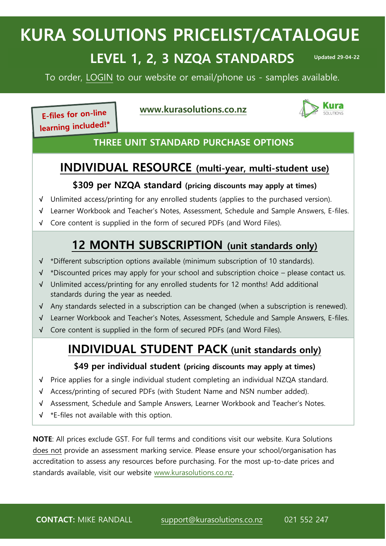# **KURA SOLUTIONS PRICELIST/CATALOGUE**

# **LEVEL 1, 2, 3 NZQA STANDARDS**

**Updated 29-04-22**

i<br>I

To order, [LOGIN](https://kurasolutions.co.nz/) to our website or email/phone us - samples available.

E-files for on-line

#### **[www.kurasolutions.co.nz](http://www.kurasolutions.co.nz/)**



learning included!\*

#### **THREE UNIT STANDARD PURCHASE OPTIONS**

### **INDIVIDUAL RESOURCE (multi-year, multi-student use)**

#### **\$309 per NZQA standard (pricing discounts may apply at times)**

- **√** Unlimited access/printing for any enrolled students (applies to the purchased version).
- **√** Learner Workbook and Teacher's Notes, Assessment, Schedule and Sample Answers, E-files.
- **√** Core content is supplied in the form of secured PDFs (and Word Files).

# **12 MONTH SUBSCRIPTION (unit standards only)**

- **√** \*Different subscription options available (minimum subscription of 10 standards).
- **√** \*Discounted prices may apply for your school and subscription choice please contact us.
- **√** Unlimited access/printing for any enrolled students for 12 months! Add additional standards during the year as needed.
- **√** Any standards selected in a subscription can be changed (when a subscription is renewed).
- **√** Learner Workbook and Teacher's Notes, Assessment, Schedule and Sample Answers, E-files.
- **√** Core content is supplied in the form of secured PDFs (and Word Files).

## **INDIVIDUAL STUDENT PACK (unit standards only)**

#### **\$49 per individual student (pricing discounts may apply at times)**

- **√** Price applies for a single individual student completing an individual NZQA standard.
- **√** Access/printing of secured PDFs (with Student Name and NSN number added).
- **√** Assessment, Schedule and Sample Answers, Learner Workbook and Teacher's Notes.
- **√** \*E-files not available with this option.

**NOTE**: All prices exclude GST. For full terms and conditions visit our website. Kura Solutions does not provide an assessment marking service. Please ensure your school/organisation has accreditation to assess any resources before purchasing. For the most up-to-date prices and standards available, visit our website [www.kurasolutions.co.nz.](http://www.kurasolutions.co.nz/)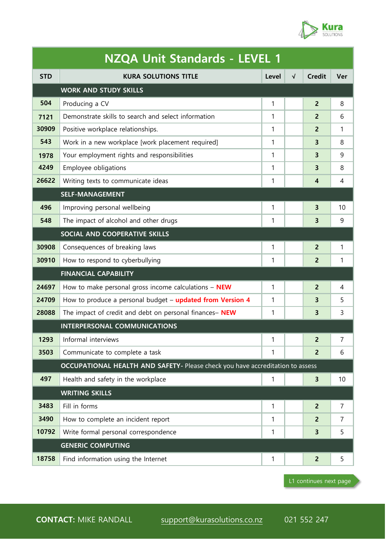

| <b>NZQA Unit Standards - LEVEL 1</b> |                                                                               |                                      |  |                         |    |  |  |  |
|--------------------------------------|-------------------------------------------------------------------------------|--------------------------------------|--|-------------------------|----|--|--|--|
| <b>STD</b>                           | <b>KURA SOLUTIONS TITLE</b>                                                   | <b>Credit</b><br>$\sqrt{ }$<br>Level |  |                         |    |  |  |  |
|                                      | <b>WORK AND STUDY SKILLS</b>                                                  |                                      |  |                         |    |  |  |  |
| 504                                  | Producing a CV                                                                | $\mathbf{1}$                         |  | $\overline{2}$          | 8  |  |  |  |
| 7121                                 | Demonstrate skills to search and select information                           | 1                                    |  | 2                       | 6  |  |  |  |
| 30909                                | Positive workplace relationships.                                             | 1                                    |  | $\overline{2}$          | 1  |  |  |  |
| 543                                  | Work in a new workplace [work placement required]                             | $\mathbf{1}$                         |  | 3                       | 8  |  |  |  |
| 1978                                 | Your employment rights and responsibilities                                   | 1                                    |  | 3                       | 9  |  |  |  |
| 4249                                 | Employee obligations                                                          | 1                                    |  | 3                       | 8  |  |  |  |
| 26622                                | Writing texts to communicate ideas                                            | 1                                    |  | 4                       | 4  |  |  |  |
|                                      | <b>SELF-MANAGEMENT</b>                                                        |                                      |  |                         |    |  |  |  |
| 496                                  | Improving personal wellbeing                                                  | 1                                    |  | 3                       | 10 |  |  |  |
| 548                                  | The impact of alcohol and other drugs                                         | $\mathbf{1}$                         |  | 3                       | 9  |  |  |  |
|                                      | SOCIAL AND COOPERATIVE SKILLS                                                 |                                      |  |                         |    |  |  |  |
| 30908                                | Consequences of breaking laws                                                 | $\mathbf{1}$                         |  | $\overline{2}$          | 1  |  |  |  |
| 30910                                | How to respond to cyberbullying                                               | 1                                    |  | $\overline{2}$          | 1  |  |  |  |
|                                      | <b>FINANCIAL CAPABILITY</b>                                                   |                                      |  |                         |    |  |  |  |
| 24697                                | How to make personal gross income calculations $-$ NEW                        | 1                                    |  | $\overline{2}$          | 4  |  |  |  |
| 24709                                | How to produce a personal budget - updated from Version 4                     | 1                                    |  | 3                       | 5  |  |  |  |
| 28088                                | The impact of credit and debt on personal finances- NEW                       | 1                                    |  | 3                       | 3  |  |  |  |
|                                      | INTERPERSONAL COMMUNICATIONS                                                  |                                      |  |                         |    |  |  |  |
| 1293                                 | Informal interviews                                                           | 1                                    |  | 2                       | 7  |  |  |  |
| 3503                                 | Communicate to complete a task                                                | $\mathbf{1}$                         |  | $\overline{2}$          | 6  |  |  |  |
|                                      | OCCUPATIONAL HEALTH AND SAFETY- Please check you have accreditation to assess |                                      |  |                         |    |  |  |  |
| 497                                  | Health and safety in the workplace                                            | $\mathbf{1}$                         |  | $\overline{\mathbf{3}}$ | 10 |  |  |  |
|                                      | <b>WRITING SKILLS</b>                                                         |                                      |  |                         |    |  |  |  |
| 3483                                 | Fill in forms                                                                 | $\mathbf{1}$                         |  | $\overline{2}$          | 7  |  |  |  |
| 3490                                 | How to complete an incident report                                            | 1                                    |  | $\overline{2}$          | 7  |  |  |  |
| 10792                                | Write formal personal correspondence                                          | 1                                    |  | 3                       | 5  |  |  |  |
|                                      | <b>GENERIC COMPUTING</b>                                                      |                                      |  |                         |    |  |  |  |
| 18758                                | Find information using the Internet                                           | $\mathbf{1}$                         |  | $\overline{2}$          | 5  |  |  |  |
|                                      |                                                                               |                                      |  |                         |    |  |  |  |

L1 continues next page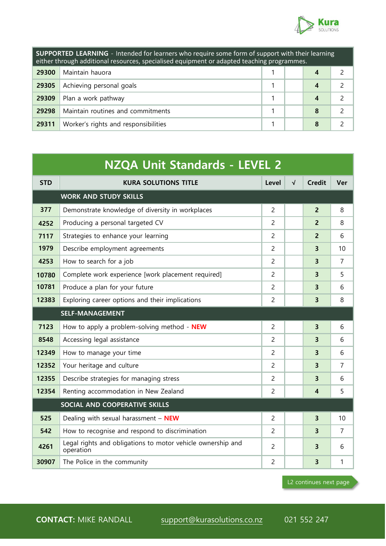

| <b>SUPPORTED LEARNING</b> - Intended for learners who require some form of support with their learning<br>either through additional resources, specialised equipment or adapted teaching programmes. |                                      |  |  |   |  |  |
|------------------------------------------------------------------------------------------------------------------------------------------------------------------------------------------------------|--------------------------------------|--|--|---|--|--|
| 29300                                                                                                                                                                                                | Maintain hauora<br>4                 |  |  |   |  |  |
| 29305                                                                                                                                                                                                | Achieving personal goals             |  |  |   |  |  |
| 29309                                                                                                                                                                                                | Plan a work pathway                  |  |  |   |  |  |
| 29298                                                                                                                                                                                                | Maintain routines and commitments    |  |  | 8 |  |  |
| 29311                                                                                                                                                                                                | Worker's rights and responsibilities |  |  |   |  |  |

| NZQA Unit Standards - LEVEL 2 |                                                                          |                |            |                         |     |  |  |
|-------------------------------|--------------------------------------------------------------------------|----------------|------------|-------------------------|-----|--|--|
| <b>STD</b>                    | <b>KURA SOLUTIONS TITLE</b>                                              | Level          | $\sqrt{ }$ | <b>Credit</b>           | Ver |  |  |
| <b>WORK AND STUDY SKILLS</b>  |                                                                          |                |            |                         |     |  |  |
| 377                           | Demonstrate knowledge of diversity in workplaces                         | $\overline{2}$ |            | $\overline{2}$          | 8   |  |  |
| 4252                          | Producing a personal targeted CV                                         | 2              |            | $\overline{2}$          | 8   |  |  |
| 7117                          | Strategies to enhance your learning                                      | $\overline{2}$ |            | $\overline{2}$          | 6   |  |  |
| 1979                          | Describe employment agreements                                           | $\overline{2}$ |            | 3                       | 10  |  |  |
| 4253                          | How to search for a job                                                  | $\overline{2}$ |            | 3                       | 7   |  |  |
| 10780                         | Complete work experience [work placement required]                       | $\overline{2}$ |            | 3                       | 5   |  |  |
| 10781                         | Produce a plan for your future                                           | 2              |            | 3                       | 6   |  |  |
| 12383                         | Exploring career options and their implications                          | $\overline{c}$ |            | 3                       | 8   |  |  |
| <b>SELF-MANAGEMENT</b>        |                                                                          |                |            |                         |     |  |  |
| 7123                          | How to apply a problem-solving method - NEW                              | $\overline{2}$ |            | 3                       | 6   |  |  |
| 8548                          | Accessing legal assistance                                               | $\overline{c}$ |            | 3                       | 6   |  |  |
| 12349                         | How to manage your time                                                  | $\overline{c}$ |            | 3                       | 6   |  |  |
| 12352                         | Your heritage and culture                                                | $\overline{2}$ |            | 3                       | 7   |  |  |
| 12355                         | Describe strategies for managing stress                                  | $\overline{c}$ |            | 3                       | 6   |  |  |
| 12354                         | Renting accommodation in New Zealand                                     | $\overline{c}$ |            | 4                       | 5   |  |  |
|                               | SOCIAL AND COOPERATIVE SKILLS                                            |                |            |                         |     |  |  |
| 525                           | Dealing with sexual harassment $-$ NEW                                   | $\overline{2}$ |            | $\overline{\mathbf{3}}$ | 10  |  |  |
| 542                           | How to recognise and respond to discrimination                           | 2              |            | 3                       | 7   |  |  |
| 4261                          | Legal rights and obligations to motor vehicle ownership and<br>operation | $\overline{2}$ |            | 3                       | 6   |  |  |
| 30907                         | The Police in the community                                              | $\overline{c}$ |            | 3                       | 1   |  |  |

L2 continues next page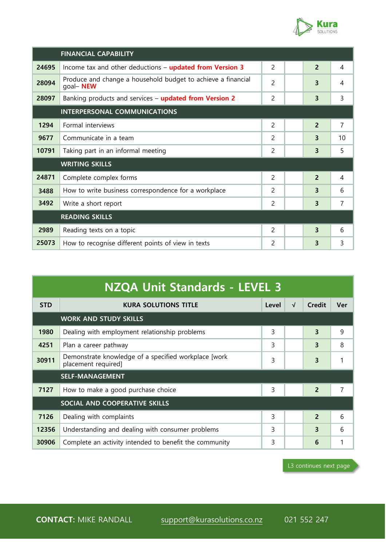

| <b>FINANCIAL CAPABILITY</b>         |                                                                           |                |   |                |                |
|-------------------------------------|---------------------------------------------------------------------------|----------------|---|----------------|----------------|
| 24695                               | Income tax and other deductions - updated from Version 3                  | $\overline{2}$ | 4 |                |                |
| 28094                               | Produce and change a household budget to achieve a financial<br>goal- NEW | 3              | 4 |                |                |
| 28097                               | Banking products and services - updated from Version 2                    | 3              | 3 |                |                |
| <b>INTERPERSONAL COMMUNICATIONS</b> |                                                                           |                |   |                |                |
| 1294                                | Formal interviews                                                         | 2              |   | $\overline{2}$ | $\overline{7}$ |
| 9677                                | Communicate in a team                                                     | 2              |   | 3              | 10             |
| 10791                               | Taking part in an informal meeting                                        | 2              |   | 3              | 5              |
| <b>WRITING SKILLS</b>               |                                                                           |                |   |                |                |
| 24871                               | Complete complex forms                                                    | $\overline{c}$ |   | $\overline{2}$ | 4              |
| 3488                                | How to write business correspondence for a workplace                      | 2              |   | 3              | 6              |
| 3492                                | Write a short report                                                      | 2              |   | 3              | 7              |
|                                     | <b>READING SKILLS</b>                                                     |                |   |                |                |
| 2989                                | Reading texts on a topic                                                  | 2              |   | 3              | 6              |
| 25073                               | How to recognise different points of view in texts                        | $\mathcal{P}$  |   | 3              | 3              |

| <b>NZQA Unit Standards - LEVEL 3</b> |                                                                             |   |  |                          |   |  |  |  |  |
|--------------------------------------|-----------------------------------------------------------------------------|---|--|--------------------------|---|--|--|--|--|
| <b>STD</b>                           | <b>Credit</b><br><b>KURA SOLUTIONS TITLE</b><br>Ver<br>Level<br>$\sqrt{ }$  |   |  |                          |   |  |  |  |  |
| <b>WORK AND STUDY SKILLS</b>         |                                                                             |   |  |                          |   |  |  |  |  |
| 1980                                 | Dealing with employment relationship problems                               | 3 |  | 3                        | 9 |  |  |  |  |
| 4251                                 | Plan a career pathway                                                       | 3 |  | 3                        | 8 |  |  |  |  |
| 30911                                | Demonstrate knowledge of a specified workplace [work<br>placement required] | 3 |  | 3                        |   |  |  |  |  |
| <b>SELF-MANAGEMENT</b>               |                                                                             |   |  |                          |   |  |  |  |  |
| 7127                                 | How to make a good purchase choice                                          | 3 |  | $\overline{2}$           | 7 |  |  |  |  |
| SOCIAL AND COOPERATIVE SKILLS        |                                                                             |   |  |                          |   |  |  |  |  |
| 7126                                 | Dealing with complaints                                                     | 3 |  | $\overline{\phantom{0}}$ | 6 |  |  |  |  |
| 12356                                | Understanding and dealing with consumer problems                            | 3 |  | 3                        | 6 |  |  |  |  |
| 30906                                | Complete an activity intended to benefit the community                      | 3 |  | 6                        |   |  |  |  |  |

L3 continues next page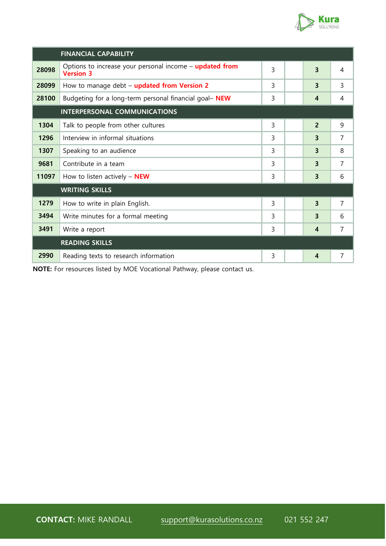

i<br>I

|                              | <b>FINANCIAL CAPABILITY</b>                                                   |   |  |                  |                |
|------------------------------|-------------------------------------------------------------------------------|---|--|------------------|----------------|
| 28098                        | Options to increase your personal income $-$ updated from<br><b>Version 3</b> | 3 |  | 3                | 4              |
| 28099                        | How to manage debt - updated from Version 2                                   | 3 |  | 3                | 3              |
| 28100                        | Budgeting for a long-term personal financial goal- NEW                        | 3 |  | 4                | 4              |
| INTERPERSONAL COMMUNICATIONS |                                                                               |   |  |                  |                |
| 1304                         | Talk to people from other cultures                                            | 3 |  | $\overline{2}$   | 9              |
| 1296                         | Interview in informal situations                                              | 3 |  | 3                | 7              |
| 1307                         | Speaking to an audience                                                       | 3 |  | 3                | 8              |
| 9681                         | Contribute in a team                                                          | 3 |  | 3                | 7              |
| 11097                        | How to listen actively $-$ NEW                                                | 3 |  | 3                | 6              |
|                              | <b>WRITING SKILLS</b>                                                         |   |  |                  |                |
| 1279                         | How to write in plain English.                                                | 3 |  | 3                | $\overline{7}$ |
| 3494                         | Write minutes for a formal meeting                                            | 3 |  | 3                | 6              |
| 3491                         | Write a report                                                                | 3 |  | $\overline{4}$   | $\overline{7}$ |
|                              | <b>READING SKILLS</b>                                                         |   |  |                  |                |
| 2990                         | Reading texts to research information                                         | 3 |  | $\boldsymbol{4}$ | $\overline{7}$ |

**NOTE:** For resources listed by MOE Vocational Pathway, please contact us.